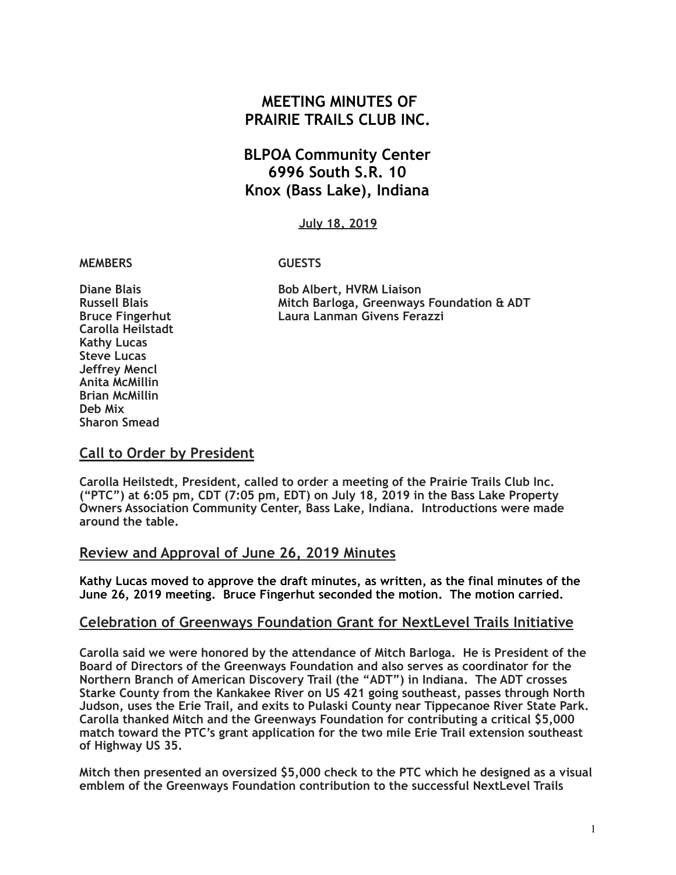# **MEETING MINUTES OF PRAIRIE TRAILS CLUB INC.**

# **BLPOA Community Center 6996 South S.R. 10 Knox (Bass Lake), Indiana**

#### **July 18, 2019**

#### **MEMBERS GUESTS**

**Carolla Heilstadt Kathy Lucas Steve Lucas Jeffrey Mencl Anita McMillin Brian McMillin Deb Mix Sharon Smead** 

**Diane Blais** Bob Albert, HVRM Liaison **Russell Blais Mitch Barloga, Greenways Foundation & ADT Bruce Fingerhut Laura Lanman Givens Ferazzi** 

### **Call to Order by President**

**Carolla Heilstedt, President, called to order a meeting of the Prairie Trails Club Inc. ("PTC") at 6:05 pm, CDT (7:05 pm, EDT) on July 18, 2019 in the Bass Lake Property Owners Association Community Center, Bass Lake, Indiana. Introductions were made around the table.**

#### **Review and Approval of June 26, 2019 Minutes**

**Kathy Lucas moved to approve the draft minutes, as written, as the final minutes of the June 26, 2019 meeting. Bruce Fingerhut seconded the motion. The motion carried.** 

#### **Celebration of Greenways Foundation Grant for NextLevel Trails Initiative**

**Carolla said we were honored by the attendance of Mitch Barloga. He is President of the Board of Directors of the Greenways Foundation and also serves as coordinator for the Northern Branch of American Discovery Trail (the "ADT") in Indiana. The ADT crosses Starke County from the Kankakee River on US 421 going southeast, passes through North Judson, uses the Erie Trail, and exits to Pulaski County near Tippecanoe River State Park. Carolla thanked Mitch and the Greenways Foundation for contributing a critical \$5,000 match toward the PTC's grant application for the two mile Erie Trail extension southeast of Highway US 35.** 

**Mitch then presented an oversized \$5,000 check to the PTC which he designed as a visual emblem of the Greenways Foundation contribution to the successful NextLevel Trails**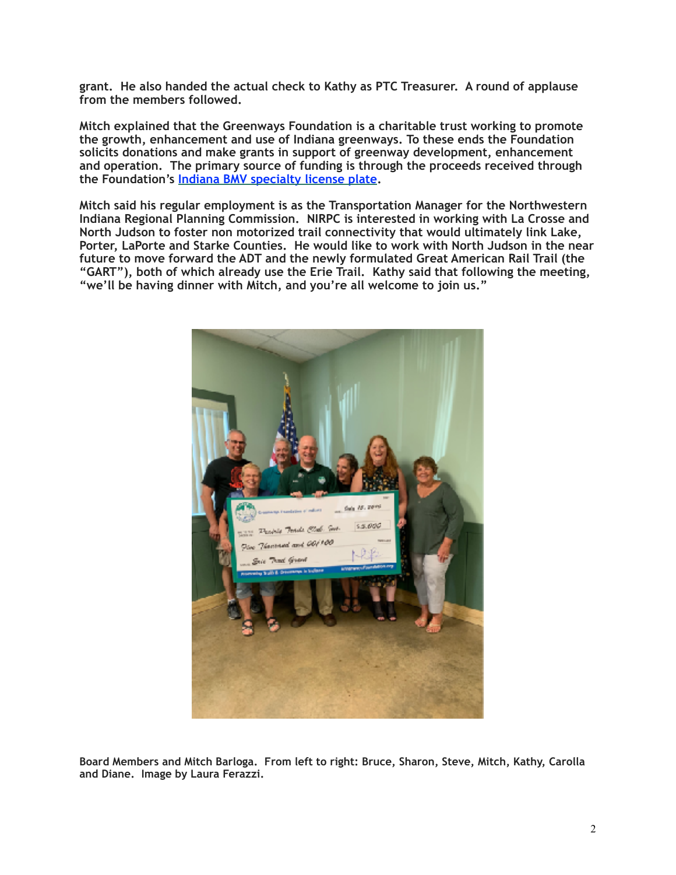**grant. He also handed the actual check to Kathy as PTC Treasurer. A round of applause from the members followed.** 

**Mitch explained that the Greenways Foundation is a charitable trust working to promote the growth, enhancement and use of Indiana greenways. To these ends the Foundation solicits donations and make grants in support of greenway development, enhancement and operation. The primary source of funding is through the proceeds received through the Foundation's [Indiana BMV specialty license plate.](https://www.greenwaysfoundation.org/plate.html)** 

**Mitch said his regular employment is as the Transportation Manager for the Northwestern Indiana Regional Planning Commission. NIRPC is interested in working with La Crosse and North Judson to foster non motorized trail connectivity that would ultimately link Lake, Porter, LaPorte and Starke Counties. He would like to work with North Judson in the near future to move forward the ADT and the newly formulated Great American Rail Trail (the "GART"), both of which already use the Erie Trail. Kathy said that following the meeting, "we'll be having dinner with Mitch, and you're all welcome to join us."** 



**Board Members and Mitch Barloga. From left to right: Bruce, Sharon, Steve, Mitch, Kathy, Carolla and Diane. Image by Laura Ferazzi.**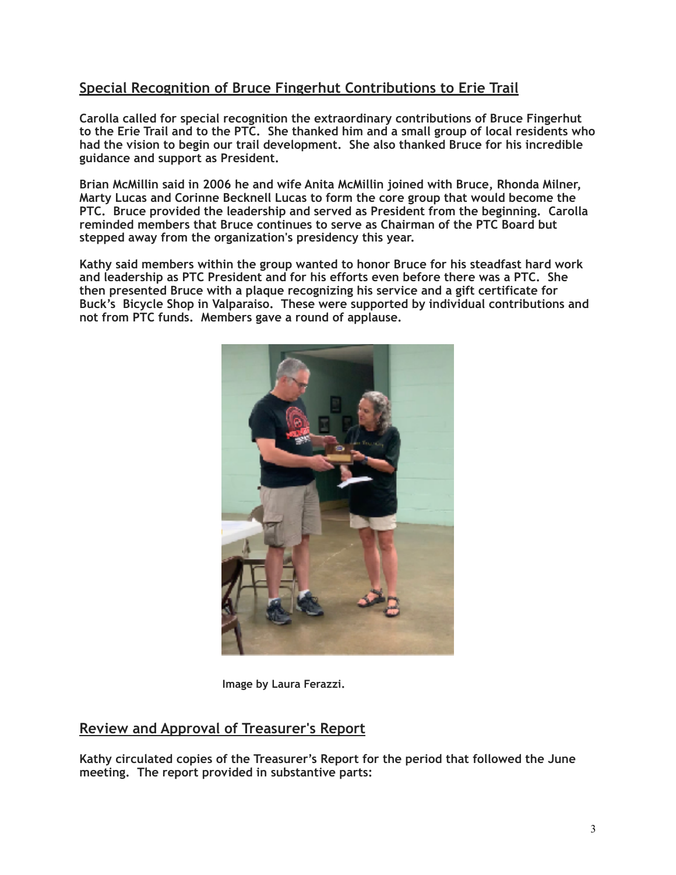## **Special Recognition of Bruce Fingerhut Contributions to Erie Trail**

**Carolla called for special recognition the extraordinary contributions of Bruce Fingerhut to the Erie Trail and to the PTC. She thanked him and a small group of local residents who had the vision to begin our trail development. She also thanked Bruce for his incredible guidance and support as President.** 

**Brian McMillin said in 2006 he and wife Anita McMillin joined with Bruce, Rhonda Milner, Marty Lucas and Corinne Becknell Lucas to form the core group that would become the PTC. Bruce provided the leadership and served as President from the beginning. Carolla reminded members that Bruce continues to serve as Chairman of the PTC Board but stepped away from the organization's presidency this year.** 

**Kathy said members within the group wanted to honor Bruce for his steadfast hard work and leadership as PTC President and for his efforts even before there was a PTC. She then presented Bruce with a plaque recognizing his service and a gift certificate for Buck's Bicycle Shop in Valparaiso. These were supported by individual contributions and not from PTC funds. Members gave a round of applause.**



 **Image by Laura Ferazzi.** 

### **Review and Approval of Treasurer's Report**

**Kathy circulated copies of the Treasurer's Report for the period that followed the June meeting. The report provided in substantive parts:**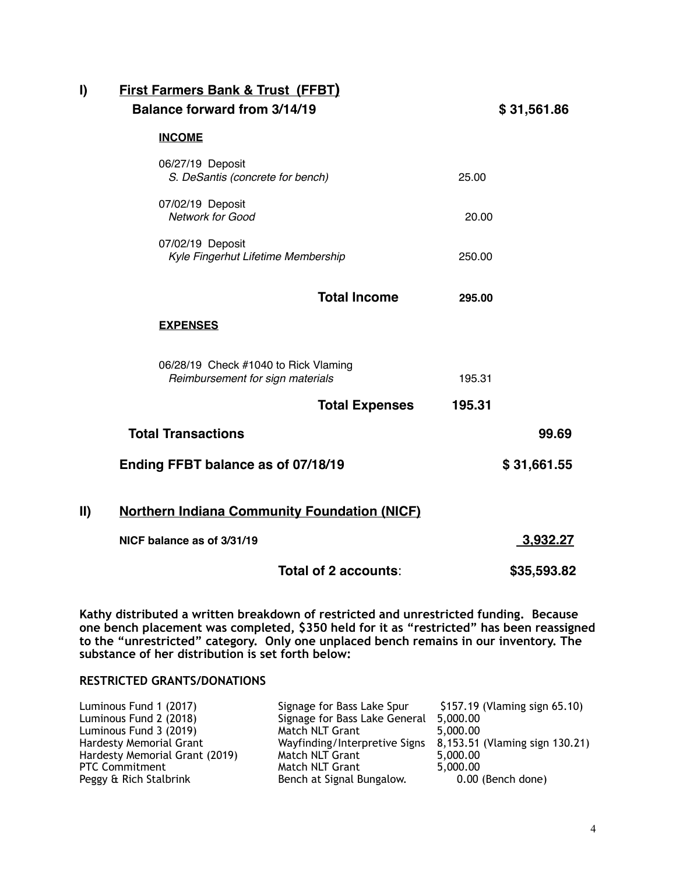## **I) First Farmers Bank & Trust (FFBT) Balance forward from 3/14/19 \$ 31,561.86**

#### **INCOME**

|                                                                          | 06/27/19 Deposit<br>S. DeSantis (concrete for bench)   |                       | 25.00       |                 |
|--------------------------------------------------------------------------|--------------------------------------------------------|-----------------------|-------------|-----------------|
|                                                                          | 07/02/19 Deposit<br><b>Network for Good</b>            |                       | 20.00       |                 |
|                                                                          | 07/02/19 Deposit<br>Kyle Fingerhut Lifetime Membership |                       | 250.00      |                 |
|                                                                          |                                                        | <b>Total Income</b>   | 295.00      |                 |
|                                                                          | <b>EXPENSES</b>                                        |                       |             |                 |
| 06/28/19 Check #1040 to Rick Vlaming<br>Reimbursement for sign materials |                                                        |                       | 195.31      |                 |
|                                                                          |                                                        | <b>Total Expenses</b> | 195.31      |                 |
|                                                                          | <b>Total Transactions</b>                              |                       |             | 99.69           |
|                                                                          | Ending FFBT balance as of 07/18/19                     |                       | \$31,661.55 |                 |
| II)                                                                      | <b>Northern Indiana Community Foundation (NICF)</b>    |                       |             |                 |
|                                                                          | NICF balance as of 3/31/19                             |                       |             | <u>3,932.27</u> |
|                                                                          |                                                        | Total of 2 accounts:  |             | \$35,593.82     |

**Kathy distributed a written breakdown of restricted and unrestricted funding. Because one bench placement was completed, \$350 held for it as "restricted" has been reassigned to the "unrestricted" category. Only one unplaced bench remains in our inventory. The substance of her distribution is set forth below:** 

#### **RESTRICTED GRANTS/DONATIONS**

| Signage for Bass Lake Spur    | \$157.19 (Vlaming sign 65.10)  |
|-------------------------------|--------------------------------|
| Signage for Bass Lake General | 5,000.00                       |
| Match NLT Grant               | 5,000.00                       |
| Wayfinding/Interpretive Signs | 8,153.51 (Vlaming sign 130.21) |
| Match NLT Grant               | 5,000.00                       |
| Match NLT Grant               | 5.000.00                       |
| Bench at Signal Bungalow.     | 0.00 (Bench done)              |
|                               |                                |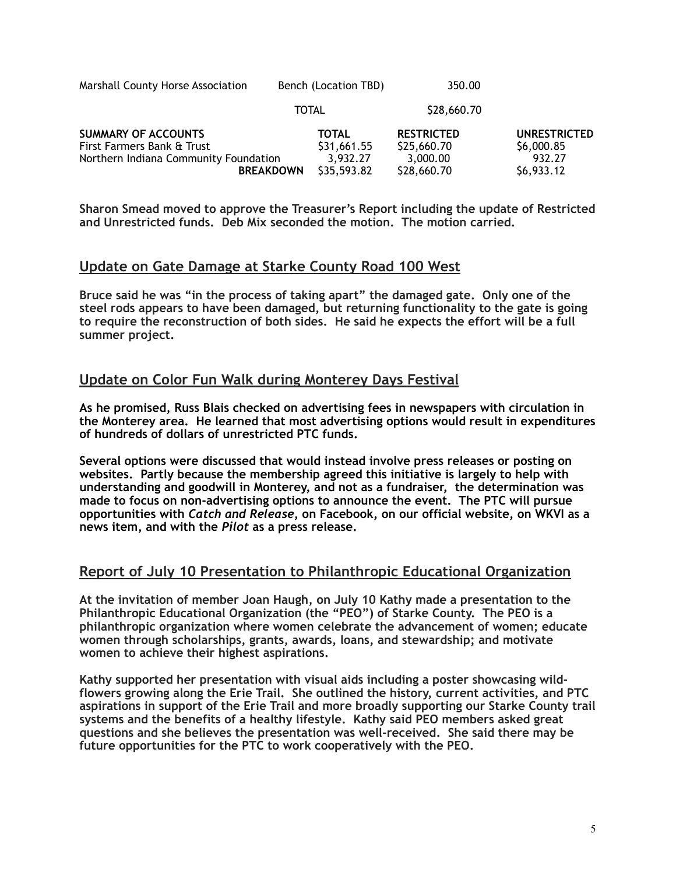| Marshall County Horse Association | Bench (Location TBD) | 350.00      |  |
|-----------------------------------|----------------------|-------------|--|
|                                   | <b>TOTAL</b>         | \$28,660.70 |  |

| <b>SUMMARY OF ACCOUNTS</b>            | <b>TOTAL</b> | <b>RESTRICTED</b> | UNRESTRICTED |
|---------------------------------------|--------------|-------------------|--------------|
| First Farmers Bank & Trust            | \$31,661.55  | \$25,660.70       | \$6,000.85   |
| Northern Indiana Community Foundation | 3.932.27     | 3,000.00          | 932.27       |
| <b>BREAKDOWN</b>                      | \$35,593.82  | \$28,660.70       | \$6,933.12   |

**Sharon Smead moved to approve the Treasurer's Report including the update of Restricted and Unrestricted funds. Deb Mix seconded the motion. The motion carried.** 

### **Update on Gate Damage at Starke County Road 100 West**

**Bruce said he was "in the process of taking apart" the damaged gate. Only one of the steel rods appears to have been damaged, but returning functionality to the gate is going to require the reconstruction of both sides. He said he expects the effort will be a full summer project.** 

### **Update on Color Fun Walk during Monterey Days Festival**

**As he promised, Russ Blais checked on advertising fees in newspapers with circulation in the Monterey area. He learned that most advertising options would result in expenditures of hundreds of dollars of unrestricted PTC funds.** 

**Several options were discussed that would instead involve press releases or posting on websites. Partly because the membership agreed this initiative is largely to help with understanding and goodwill in Monterey, and not as a fundraiser, the determination was made to focus on non-advertising options to announce the event. The PTC will pursue opportunities with** *Catch and Release***, on Facebook, on our official website, on WKVI as a news item, and with the** *Pilot* **as a press release.** 

### **Report of July 10 Presentation to Philanthropic Educational Organization**

**At the invitation of member Joan Haugh, on July 10 Kathy made a presentation to the Philanthropic Educational Organization (the "PEO") of Starke County. The PEO is a philanthropic organization where women celebrate the advancement of women; educate women through scholarships, grants, awards, loans, and stewardship; and motivate women to achieve their highest aspirations.**

**Kathy supported her presentation with visual aids including a poster showcasing wildflowers growing along the Erie Trail. She outlined the history, current activities, and PTC aspirations in support of the Erie Trail and more broadly supporting our Starke County trail systems and the benefits of a healthy lifestyle. Kathy said PEO members asked great questions and she believes the presentation was well-received. She said there may be future opportunities for the PTC to work cooperatively with the PEO.**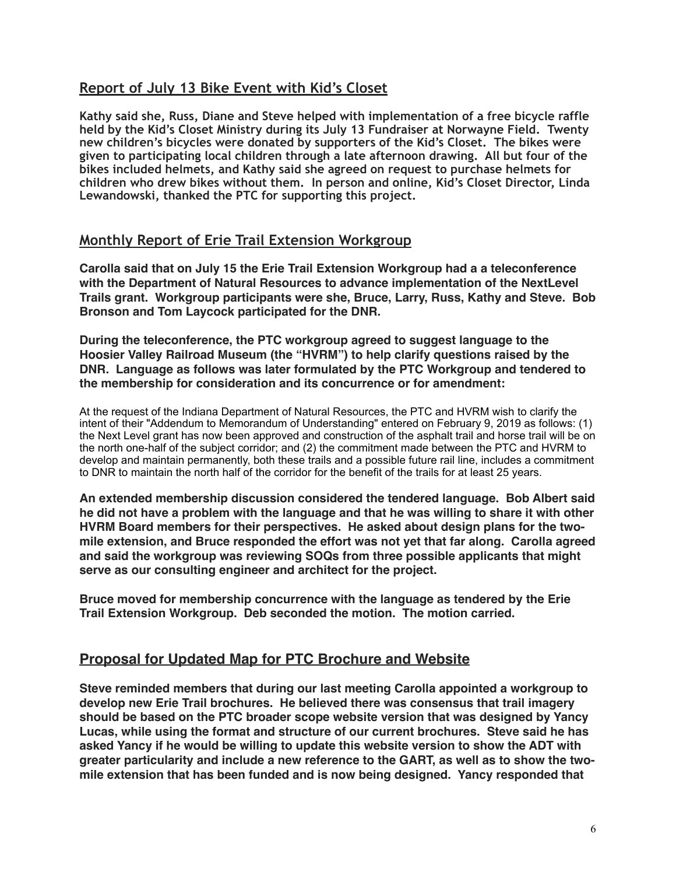### **Report of July 13 Bike Event with Kid's Closet**

**Kathy said she, Russ, Diane and Steve helped with implementation of a free bicycle raffle held by the Kid's Closet Ministry during its July 13 Fundraiser at Norwayne Field. Twenty new children's bicycles were donated by supporters of the Kid's Closet. The bikes were given to participating local children through a late afternoon drawing. All but four of the bikes included helmets, and Kathy said she agreed on request to purchase helmets for children who drew bikes without them. In person and online, Kid's Closet Director, Linda Lewandowski, thanked the PTC for supporting this project.** 

### **Monthly Report of Erie Trail Extension Workgroup**

**Carolla said that on July 15 the Erie Trail Extension Workgroup had a a teleconference with the Department of Natural Resources to advance implementation of the NextLevel Trails grant. Workgroup participants were she, Bruce, Larry, Russ, Kathy and Steve. Bob Bronson and Tom Laycock participated for the DNR.**

**During the teleconference, the PTC workgroup agreed to suggest language to the Hoosier Valley Railroad Museum (the "HVRM") to help clarify questions raised by the DNR. Language as follows was later formulated by the PTC Workgroup and tendered to the membership for consideration and its concurrence or for amendment:**

At the request of the Indiana Department of Natural Resources, the PTC and HVRM wish to clarify the intent of their "Addendum to Memorandum of Understanding" entered on February 9, 2019 as follows: (1) the Next Level grant has now been approved and construction of the asphalt trail and horse trail will be on the north one-half of the subject corridor; and (2) the commitment made between the PTC and HVRM to develop and maintain permanently, both these trails and a possible future rail line, includes a commitment to DNR to maintain the north half of the corridor for the benefit of the trails for at least 25 years.

**An extended membership discussion considered the tendered language. Bob Albert said he did not have a problem with the language and that he was willing to share it with other HVRM Board members for their perspectives. He asked about design plans for the twomile extension, and Bruce responded the effort was not yet that far along. Carolla agreed and said the workgroup was reviewing SOQs from three possible applicants that might serve as our consulting engineer and architect for the project.**

**Bruce moved for membership concurrence with the language as tendered by the Erie Trail Extension Workgroup. Deb seconded the motion. The motion carried.**

### **Proposal for Updated Map for PTC Brochure and Website**

**Steve reminded members that during our last meeting Carolla appointed a workgroup to develop new Erie Trail brochures. He believed there was consensus that trail imagery should be based on the PTC broader scope website version that was designed by Yancy Lucas, while using the format and structure of our current brochures. Steve said he has asked Yancy if he would be willing to update this website version to show the ADT with greater particularity and include a new reference to the GART, as well as to show the twomile extension that has been funded and is now being designed. Yancy responded that**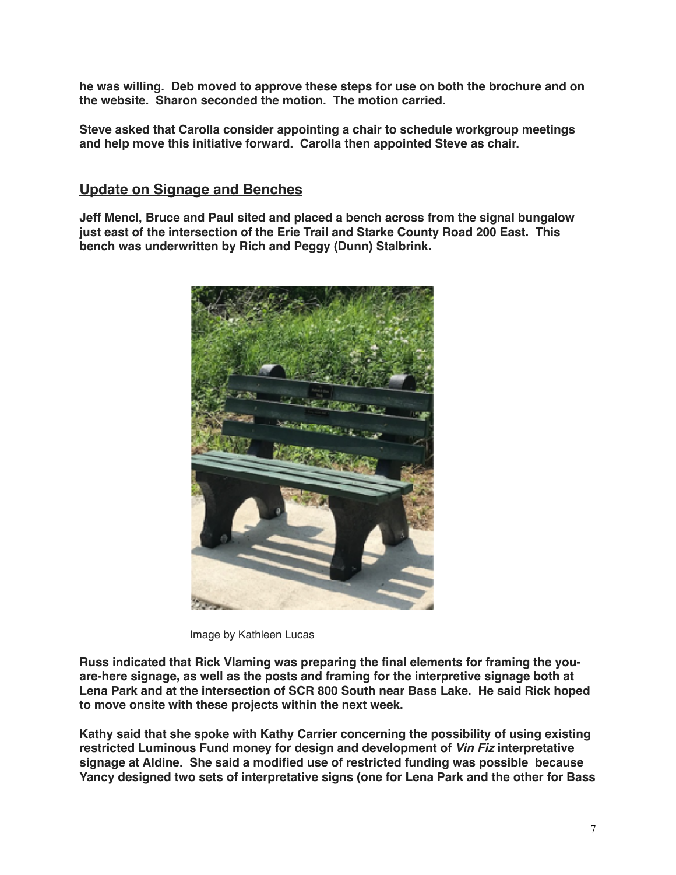**he was willing. Deb moved to approve these steps for use on both the brochure and on the website. Sharon seconded the motion. The motion carried.**

**Steve asked that Carolla consider appointing a chair to schedule workgroup meetings and help move this initiative forward. Carolla then appointed Steve as chair.**

### **Update on Signage and Benches**

**Jeff Mencl, Bruce and Paul sited and placed a bench across from the signal bungalow just east of the intersection of the Erie Trail and Starke County Road 200 East. This bench was underwritten by Rich and Peggy (Dunn) Stalbrink.**



Image by Kathleen Lucas

**Russ indicated that Rick Vlaming was preparing the final elements for framing the youare-here signage, as well as the posts and framing for the interpretive signage both at Lena Park and at the intersection of SCR 800 South near Bass Lake. He said Rick hoped to move onsite with these projects within the next week.**

**Kathy said that she spoke with Kathy Carrier concerning the possibility of using existing restricted Luminous Fund money for design and development of** *Vin Fiz* **interpretative signage at Aldine. She said a modified use of restricted funding was possible because Yancy designed two sets of interpretative signs (one for Lena Park and the other for Bass**